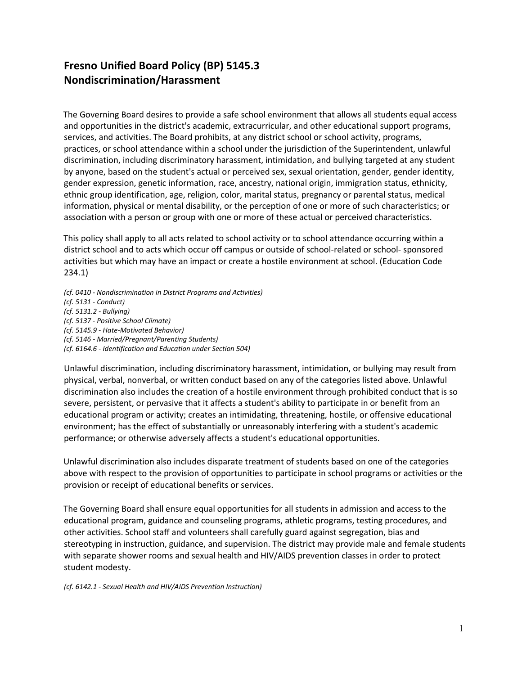## **Fresno Unified Board Policy (BP) 5145.3 Nondiscrimination/Harassment**

The Governing Board desires to provide a safe school environment that allows all students equal access and opportunities in the district's academic, extracurricular, and other educational support programs, services, and activities. The Board prohibits, at any district school or school activity, programs, practices, or school attendance within a school under the jurisdiction of the Superintendent, unlawful discrimination, including discriminatory harassment, intimidation, and bullying targeted at any student by anyone, based on the student's actual or perceived sex, sexual orientation, gender, gender identity, gender expression, genetic information, race, ancestry, national origin, immigration status, ethnicity, ethnic group identification, age, religion, color, marital status, pregnancy or parental status, medical information, physical or mental disability, or the perception of one or more of such characteristics; or association with a person or group with one or more of these actual or perceived characteristics.

This policy shall apply to all acts related to school activity or to school attendance occurring within a district school and to acts which occur off campus or outside of school-related or school- sponsored activities but which may have an impact or create a hostile environment at school. (Education Code 234.1)

*(cf. 0410 - Nondiscrimination in District Programs and Activities) (cf. 5131 - Conduct) (cf. 5131.2 - Bullying) (cf. 5137 - Positive School Climate) (cf. 5145.9 - Hate-Motivated Behavior) (cf. 5146 - Married/Pregnant/Parenting Students) (cf. 6164.6 - Identification and Education under Section 504)*

Unlawful discrimination, including discriminatory harassment, intimidation, or bullying may result from physical, verbal, nonverbal, or written conduct based on any of the categories listed above. Unlawful discrimination also includes the creation of a hostile environment through prohibited conduct that is so severe, persistent, or pervasive that it affects a student's ability to participate in or benefit from an educational program or activity; creates an intimidating, threatening, hostile, or offensive educational environment; has the effect of substantially or unreasonably interfering with a student's academic performance; or otherwise adversely affects a student's educational opportunities.

Unlawful discrimination also includes disparate treatment of students based on one of the categories above with respect to the provision of opportunities to participate in school programs or activities or the provision or receipt of educational benefits or services.

The Governing Board shall ensure equal opportunities for all students in admission and access to the educational program, guidance and counseling programs, athletic programs, testing procedures, and other activities. School staff and volunteers shall carefully guard against segregation, bias and stereotyping in instruction, guidance, and supervision. The district may provide male and female students with separate shower rooms and sexual health and HIV/AIDS prevention classes in order to protect student modesty.

*(cf. 6142.1 - Sexual Health and HIV/AIDS Prevention Instruction)*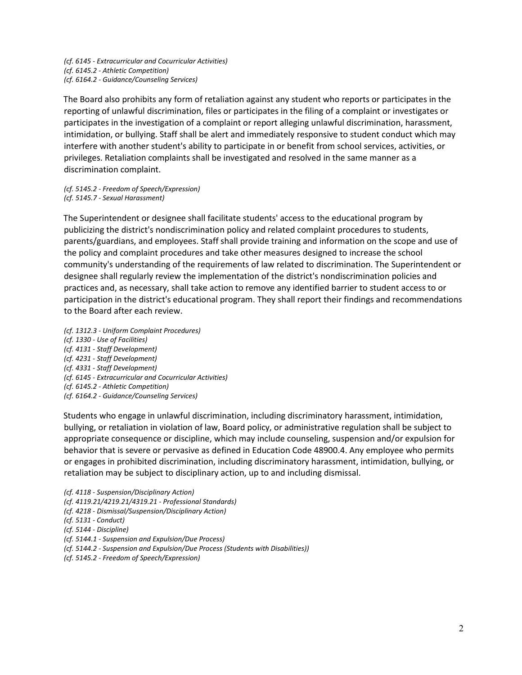*(cf. 6145 - Extracurricular and Cocurricular Activities) (cf. 6145.2 - Athletic Competition) (cf. 6164.2 - Guidance/Counseling Services)*

The Board also prohibits any form of retaliation against any student who reports or participates in the reporting of unlawful discrimination, files or participates in the filing of a complaint or investigates or participates in the investigation of a complaint or report alleging unlawful discrimination, harassment, intimidation, or bullying. Staff shall be alert and immediately responsive to student conduct which may interfere with another student's ability to participate in or benefit from school services, activities, or privileges. Retaliation complaints shall be investigated and resolved in the same manner as a discrimination complaint.

*(cf. 5145.2 - Freedom of Speech/Expression) (cf. 5145.7 - Sexual Harassment)*

The Superintendent or designee shall facilitate students' access to the educational program by publicizing the district's nondiscrimination policy and related complaint procedures to students, parents/guardians, and employees. Staff shall provide training and information on the scope and use of the policy and complaint procedures and take other measures designed to increase the school community's understanding of the requirements of law related to discrimination. The Superintendent or designee shall regularly review the implementation of the district's nondiscrimination policies and practices and, as necessary, shall take action to remove any identified barrier to student access to or participation in the district's educational program. They shall report their findings and recommendations to the Board after each review.

*(cf. 1312.3 - Uniform Complaint Procedures) (cf. 1330 - Use of Facilities) (cf. 4131 - Staff Development) (cf. 4231 - Staff Development) (cf. 4331 - Staff Development) (cf. 6145 - Extracurricular and Cocurricular Activities) (cf. 6145.2 - Athletic Competition) (cf. 6164.2 - Guidance/Counseling Services)*

Students who engage in unlawful discrimination, including discriminatory harassment, intimidation, bullying, or retaliation in violation of law, Board policy, or administrative regulation shall be subject to appropriate consequence or discipline, which may include counseling, suspension and/or expulsion for behavior that is severe or pervasive as defined in Education Code 48900.4. Any employee who permits or engages in prohibited discrimination, including discriminatory harassment, intimidation, bullying, or retaliation may be subject to disciplinary action, up to and including dismissal.

*(cf. 4118 - Suspension/Disciplinary Action) (cf. 4119.21/4219.21/4319.21 - Professional Standards) (cf. 4218 - Dismissal/Suspension/Disciplinary Action) (cf. 5131 - Conduct) (cf. 5144 - Discipline) (cf. 5144.1 - Suspension and Expulsion/Due Process) (cf. 5144.2 - Suspension and Expulsion/Due Process (Students with Disabilities))* 

*(cf. 5145.2 - Freedom of Speech/Expression)*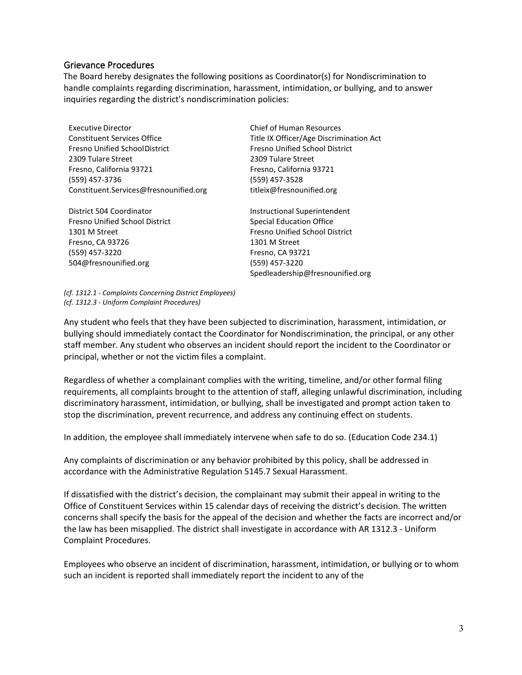## Grievance Procedures

The Board hereby designates the following positions as Coordinator(s) for Nondiscrimination to handle complaints regarding discrimination, harassment, intimidation, or bullying, and to answer inquiries regarding the district's nondiscrimination policies:

| <b>Executive Director</b>              | <b>Chief of Human Resources</b>         |
|----------------------------------------|-----------------------------------------|
| <b>Constituent Services Office</b>     | Title IX Officer/Age Discrimination Act |
| <b>Fresno Unified SchoolDistrict</b>   | <b>Fresno Unified School District</b>   |
| 2309 Tulare Street                     | 2309 Tulare Street                      |
| Fresno, California 93721               | Fresno, California 93721                |
| (559) 457-3736                         | (559) 457-3528                          |
| Constituent.Services@fresnounified.org | titleix@fresnounified.org               |
| District 504 Coordinator               | Instructional Superintendent            |
| Fresno Unified School District         | <b>Special Education Office</b>         |

1301 M Street Fresno, CA 93726 (559) 457-3220 504@fresnounified.org

Special Education Office Fresno Unified School District 1301 M Street Fresno, CA 93721 (559) 457-3220 Spedleadership@fresnounified.org

*(cf. 1312.1 - Complaints Concerning District Employees) (cf. 1312.3 - Uniform Complaint Procedures)*

Any student who feels that they have been subjected to discrimination, harassment, intimidation, or bullying should immediately contact the Coordinator for Nondiscrimination, the principal, or any other staff member. Any student who observes an incident should report the incident to the Coordinator or principal, whether or not the victim files a complaint.

Regardless of whether a complainant complies with the writing, timeline, and/or other formal filing requirements, all complaints brought to the attention of staff, alleging unlawful discrimination, including discriminatory harassment, intimidation, or bullying, shall be investigated and prompt action taken to stop the discrimination, prevent recurrence, and address any continuing effect on students.

In addition, the employee shall immediately intervene when safe to do so. (Education Code 234.1)

Any complaints of discrimination or any behavior prohibited by this policy, shall be addressed in accordance with the Administrative Regulation 5145.7 Sexual Harassment.

If dissatisfied with the district's decision, the complainant may submit their appeal in writing to the Office of Constituent Services within 15 calendar days of receiving the district's decision. The written concerns shall specify the basis for the appeal of the decision and whether the facts are incorrect and/or the law has been misapplied. The district shall investigate in accordance with AR 1312.3 - Uniform Complaint Procedures.

Employees who observe an incident of discrimination, harassment, intimidation, or bullying or to whom such an incident is reported shall immediately report the incident to any of the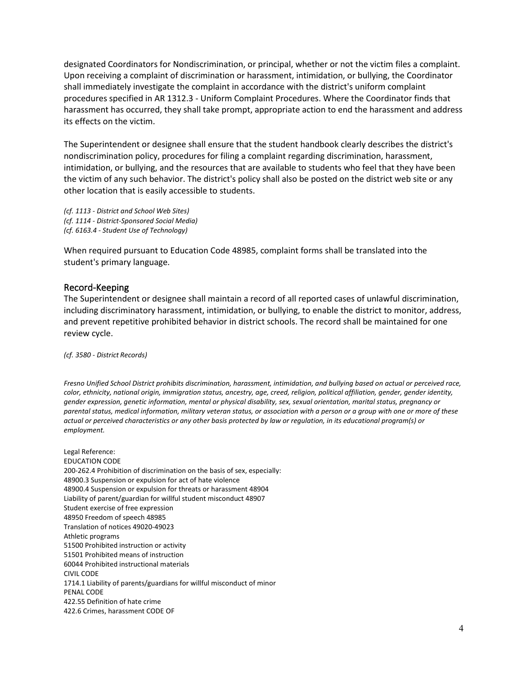designated Coordinators for Nondiscrimination, or principal, whether or not the victim files a complaint. Upon receiving a complaint of discrimination or harassment, intimidation, or bullying, the Coordinator shall immediately investigate the complaint in accordance with the district's uniform complaint procedures specified in AR 1312.3 - Uniform Complaint Procedures. Where the Coordinator finds that harassment has occurred, they shall take prompt, appropriate action to end the harassment and address its effects on the victim.

The Superintendent or designee shall ensure that the student handbook clearly describes the district's nondiscrimination policy, procedures for filing a complaint regarding discrimination, harassment, intimidation, or bullying, and the resources that are available to students who feel that they have been the victim of any such behavior. The district's policy shall also be posted on the district web site or any other location that is easily accessible to students.

*(cf. 1113 - District and School Web Sites) (cf. 1114 - District-Sponsored Social Media) (cf. 6163.4 - Student Use of Technology)*

When required pursuant to Education Code 48985, complaint forms shall be translated into the student's primary language.

## Record-Keeping

The Superintendent or designee shall maintain a record of all reported cases of unlawful discrimination, including discriminatory harassment, intimidation, or bullying, to enable the district to monitor, address, and prevent repetitive prohibited behavior in district schools. The record shall be maintained for one review cycle.

*(cf. 3580 - District Records)*

*Fresno Unified School District prohibits discrimination, harassment, intimidation, and bullying based on actual or perceived race, color, ethnicity, national origin, immigration status, ancestry, age, creed, religion, political affiliation, gender, gender identity, gender expression, genetic information, mental or physical disability, sex, sexual orientation, marital status, pregnancy or parental status, medical information, military veteran status, or association with a person or a group with one or more of these actual or perceived characteristics or any other basis protected by law or regulation, in its educational program(s) or employment.*

Legal Reference: EDUCATION CODE 200-262.4 Prohibition of discrimination on the basis of sex, especially: 48900.3 Suspension or expulsion for act of hate violence 48900.4 Suspension or expulsion for threats or harassment 48904 Liability of parent/guardian for willful student misconduct 48907 Student exercise of free expression 48950 Freedom of speech 48985 Translation of notices 49020-49023 Athletic programs 51500 Prohibited instruction or activity 51501 Prohibited means of instruction 60044 Prohibited instructional materials CIVIL CODE 1714.1 Liability of parents/guardians for willful misconduct of minor PENAL CODE 422.55 Definition of hate crime 422.6 Crimes, harassment CODE OF